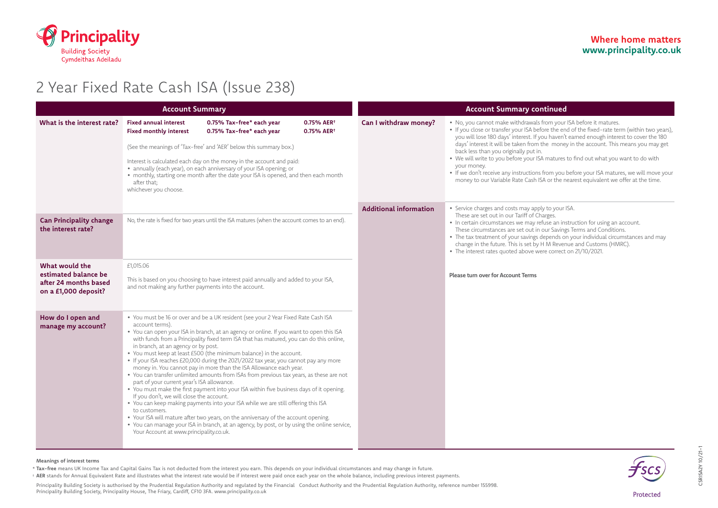

# 2 Year Fixed Rate Cash ISA (Issue 238)

| <b>Account Summary</b>                                                                  |                                                                                                                                                                                                                                                                                                                                                                                                                                                                                                                                   |                                                                                                                                                                                                                                                                                                                                                                                                                                                                                                                                                                                                                                                                                                                                                                                                                                                                                                                                                                                 |  | <b>Account Summary continued</b> |                                                                                                                                                                                                                                                                                                                                                                                                                                                                                                                                                                                                                                                                                              |
|-----------------------------------------------------------------------------------------|-----------------------------------------------------------------------------------------------------------------------------------------------------------------------------------------------------------------------------------------------------------------------------------------------------------------------------------------------------------------------------------------------------------------------------------------------------------------------------------------------------------------------------------|---------------------------------------------------------------------------------------------------------------------------------------------------------------------------------------------------------------------------------------------------------------------------------------------------------------------------------------------------------------------------------------------------------------------------------------------------------------------------------------------------------------------------------------------------------------------------------------------------------------------------------------------------------------------------------------------------------------------------------------------------------------------------------------------------------------------------------------------------------------------------------------------------------------------------------------------------------------------------------|--|----------------------------------|----------------------------------------------------------------------------------------------------------------------------------------------------------------------------------------------------------------------------------------------------------------------------------------------------------------------------------------------------------------------------------------------------------------------------------------------------------------------------------------------------------------------------------------------------------------------------------------------------------------------------------------------------------------------------------------------|
| What is the interest rate?                                                              | <b>Fixed annual interest</b><br>0.75% Tax-free* each year<br>0.75% AER <sup>+</sup><br><b>Fixed monthly interest</b><br>0.75% Tax-free* each year<br>0.75% AER <sup>+</sup><br>(See the meanings of 'Tax-free' and 'AER' below this summary box.)<br>Interest is calculated each day on the money in the account and paid:<br>• annually (each year), on each anniversary of your ISA opening; or<br>• monthly, starting one month after the date your ISA is opened, and then each month<br>after that;<br>whichever you choose. |                                                                                                                                                                                                                                                                                                                                                                                                                                                                                                                                                                                                                                                                                                                                                                                                                                                                                                                                                                                 |  | Can I withdraw money?            | . No, you cannot make withdrawals from your ISA before it matures.<br>• If you close or transfer your ISA before the end of the fixed-rate term (within two years),<br>you will lose 180 days' interest. If you haven't earned enough interest to cover the 180<br>days' interest it will be taken from the money in the account. This means you may get<br>back less than you originally put in.<br>. We will write to you before your ISA matures to find out what you want to do with<br>your money.<br>• If we don't receive any instructions from you before your ISA matures, we will move your<br>money to our Variable Rate Cash ISA or the nearest equivalent we offer at the time. |
| <b>Can Principality change</b><br>the interest rate?                                    | No, the rate is fixed for two years until the ISA matures (when the account comes to an end).                                                                                                                                                                                                                                                                                                                                                                                                                                     |                                                                                                                                                                                                                                                                                                                                                                                                                                                                                                                                                                                                                                                                                                                                                                                                                                                                                                                                                                                 |  | <b>Additional information</b>    | • Service charges and costs may apply to your ISA.<br>These are set out in our Tariff of Charges.<br>• In certain circumstances we may refuse an instruction for using an account.<br>These circumstances are set out in our Savings Terms and Conditions.<br>• The tax treatment of your savings depends on your individual circumstances and may<br>change in the future. This is set by H M Revenue and Customs (HMRC).<br>• The interest rates quoted above were correct on 21/10/2021.                                                                                                                                                                                                  |
| What would the<br>estimated balance be<br>after 24 months based<br>on a £1,000 deposit? | £1,015.06<br>This is based on you choosing to have interest paid annually and added to your ISA,<br>and not making any further payments into the account.                                                                                                                                                                                                                                                                                                                                                                         |                                                                                                                                                                                                                                                                                                                                                                                                                                                                                                                                                                                                                                                                                                                                                                                                                                                                                                                                                                                 |  |                                  | <b>Please turn over for Account Terms</b>                                                                                                                                                                                                                                                                                                                                                                                                                                                                                                                                                                                                                                                    |
| How do I open and<br>manage my account?                                                 | account terms).<br>in branch, at an agency or by post.<br>part of your current year's ISA allowance.<br>If you don't, we will close the account.<br>to customers.<br>Your Account at www.principality.co.uk.                                                                                                                                                                                                                                                                                                                      | . You must be 16 or over and be a UK resident (see your 2 Year Fixed Rate Cash ISA<br>. You can open your ISA in branch, at an agency or online. If you want to open this ISA<br>with funds from a Principality fixed term ISA that has matured, you can do this online,<br>. You must keep at least £500 (the minimum balance) in the account.<br>• If your ISA reaches £20,000 during the 2021/2022 tax year, you cannot pay any more<br>money in. You cannot pay in more than the ISA Allowance each year.<br>• You can transfer unlimited amounts from ISAs from previous tax years, as these are not<br>. You must make the first payment into your ISA within five business days of it opening.<br>. You can keep making payments into your ISA while we are still offering this ISA<br>. Your ISA will mature after two years, on the anniversary of the account opening.<br>. You can manage your ISA in branch, at an agency, by post, or by using the online service, |  |                                  |                                                                                                                                                                                                                                                                                                                                                                                                                                                                                                                                                                                                                                                                                              |

### **Meanings of interest terms**

**Tax-free** means UK Income Tax and Capital Gains Tax is not deducted from the interest you earn. This depends on your individual circumstances and may change in future. \*

**AER** stands for Annual Equivalent Rate and illustrates what the interest rate would be if interest were paid once each year on the whole balance, including previous interest payments. †

Principality Building Society is authorised by the Prudential Regulation Authority and regulated by the Financial Conduct Authority and the Prudential Regulation Authority, reference number 155998. Principality Building Society, Principality House, The Friary, Cardiff, CF10 3FA. www.principality.co.uk



CSRISA2Y 10/21-1

SRISA2Y 10/21-1